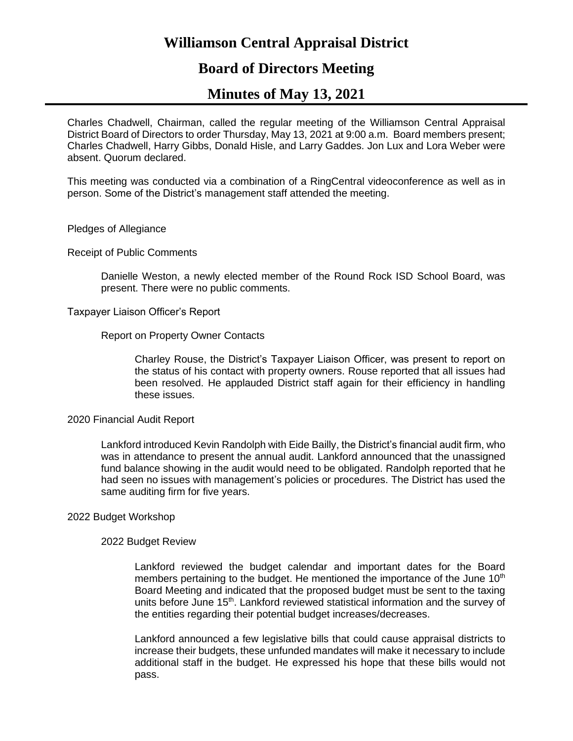# **Williamson Central Appraisal District**

# **Board of Directors Meeting**

# **Minutes of May 13, 2021**

Charles Chadwell, Chairman, called the regular meeting of the Williamson Central Appraisal District Board of Directors to order Thursday, May 13, 2021 at 9:00 a.m. Board members present; Charles Chadwell, Harry Gibbs, Donald Hisle, and Larry Gaddes. Jon Lux and Lora Weber were absent. Quorum declared.

This meeting was conducted via a combination of a RingCentral videoconference as well as in person. Some of the District's management staff attended the meeting.

#### Pledges of Allegiance

Receipt of Public Comments

Danielle Weston, a newly elected member of the Round Rock ISD School Board, was present. There were no public comments.

Taxpayer Liaison Officer's Report

Report on Property Owner Contacts

Charley Rouse, the District's Taxpayer Liaison Officer, was present to report on the status of his contact with property owners. Rouse reported that all issues had been resolved. He applauded District staff again for their efficiency in handling these issues.

#### 2020 Financial Audit Report

Lankford introduced Kevin Randolph with Eide Bailly, the District's financial audit firm, who was in attendance to present the annual audit. Lankford announced that the unassigned fund balance showing in the audit would need to be obligated. Randolph reported that he had seen no issues with management's policies or procedures. The District has used the same auditing firm for five years.

#### 2022 Budget Workshop

#### 2022 Budget Review

Lankford reviewed the budget calendar and important dates for the Board members pertaining to the budget. He mentioned the importance of the June 10<sup>th</sup> Board Meeting and indicated that the proposed budget must be sent to the taxing units before June 15<sup>th</sup>. Lankford reviewed statistical information and the survey of the entities regarding their potential budget increases/decreases.

Lankford announced a few legislative bills that could cause appraisal districts to increase their budgets, these unfunded mandates will make it necessary to include additional staff in the budget. He expressed his hope that these bills would not pass.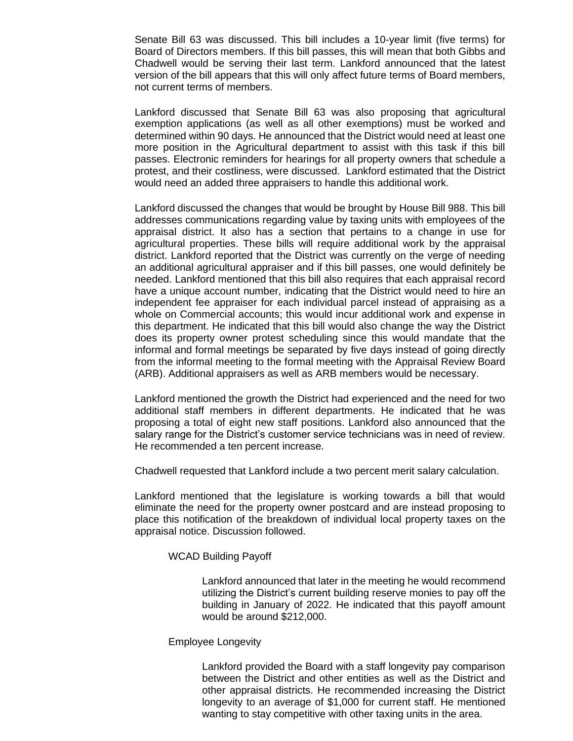Senate Bill 63 was discussed. This bill includes a 10-year limit (five terms) for Board of Directors members. If this bill passes, this will mean that both Gibbs and Chadwell would be serving their last term. Lankford announced that the latest version of the bill appears that this will only affect future terms of Board members, not current terms of members.

Lankford discussed that Senate Bill 63 was also proposing that agricultural exemption applications (as well as all other exemptions) must be worked and determined within 90 days. He announced that the District would need at least one more position in the Agricultural department to assist with this task if this bill passes. Electronic reminders for hearings for all property owners that schedule a protest, and their costliness, were discussed. Lankford estimated that the District would need an added three appraisers to handle this additional work.

Lankford discussed the changes that would be brought by House Bill 988. This bill addresses communications regarding value by taxing units with employees of the appraisal district. It also has a section that pertains to a change in use for agricultural properties. These bills will require additional work by the appraisal district. Lankford reported that the District was currently on the verge of needing an additional agricultural appraiser and if this bill passes, one would definitely be needed. Lankford mentioned that this bill also requires that each appraisal record have a unique account number, indicating that the District would need to hire an independent fee appraiser for each individual parcel instead of appraising as a whole on Commercial accounts; this would incur additional work and expense in this department. He indicated that this bill would also change the way the District does its property owner protest scheduling since this would mandate that the informal and formal meetings be separated by five days instead of going directly from the informal meeting to the formal meeting with the Appraisal Review Board (ARB). Additional appraisers as well as ARB members would be necessary.

Lankford mentioned the growth the District had experienced and the need for two additional staff members in different departments. He indicated that he was proposing a total of eight new staff positions. Lankford also announced that the salary range for the District's customer service technicians was in need of review. He recommended a ten percent increase.

Chadwell requested that Lankford include a two percent merit salary calculation.

Lankford mentioned that the legislature is working towards a bill that would eliminate the need for the property owner postcard and are instead proposing to place this notification of the breakdown of individual local property taxes on the appraisal notice. Discussion followed.

#### WCAD Building Payoff

Lankford announced that later in the meeting he would recommend utilizing the District's current building reserve monies to pay off the building in January of 2022. He indicated that this payoff amount would be around \$212,000.

#### Employee Longevity

Lankford provided the Board with a staff longevity pay comparison between the District and other entities as well as the District and other appraisal districts. He recommended increasing the District longevity to an average of \$1,000 for current staff. He mentioned wanting to stay competitive with other taxing units in the area.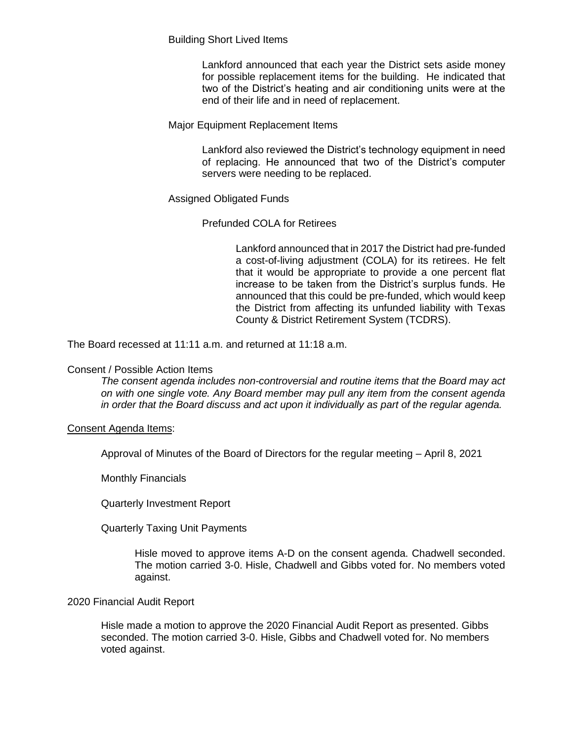Building Short Lived Items

Lankford announced that each year the District sets aside money for possible replacement items for the building. He indicated that two of the District's heating and air conditioning units were at the end of their life and in need of replacement.

## Major Equipment Replacement Items

Lankford also reviewed the District's technology equipment in need of replacing. He announced that two of the District's computer servers were needing to be replaced.

# Assigned Obligated Funds

## Prefunded COLA for Retirees

Lankford announced that in 2017 the District had pre-funded a cost-of-living adjustment (COLA) for its retirees. He felt that it would be appropriate to provide a one percent flat increase to be taken from the District's surplus funds. He announced that this could be pre-funded, which would keep the District from affecting its unfunded liability with Texas County & District Retirement System (TCDRS).

The Board recessed at 11:11 a.m. and returned at 11:18 a.m.

## Consent / Possible Action Items

*The consent agenda includes non-controversial and routine items that the Board may act on with one single vote. Any Board member may pull any item from the consent agenda in order that the Board discuss and act upon it individually as part of the regular agenda.*

#### Consent Agenda Items:

Approval of Minutes of the Board of Directors for the regular meeting – April 8, 2021

Monthly Financials

Quarterly Investment Report

Quarterly Taxing Unit Payments

Hisle moved to approve items A-D on the consent agenda. Chadwell seconded. The motion carried 3-0. Hisle, Chadwell and Gibbs voted for. No members voted against.

#### 2020 Financial Audit Report

Hisle made a motion to approve the 2020 Financial Audit Report as presented. Gibbs seconded. The motion carried 3-0. Hisle, Gibbs and Chadwell voted for. No members voted against.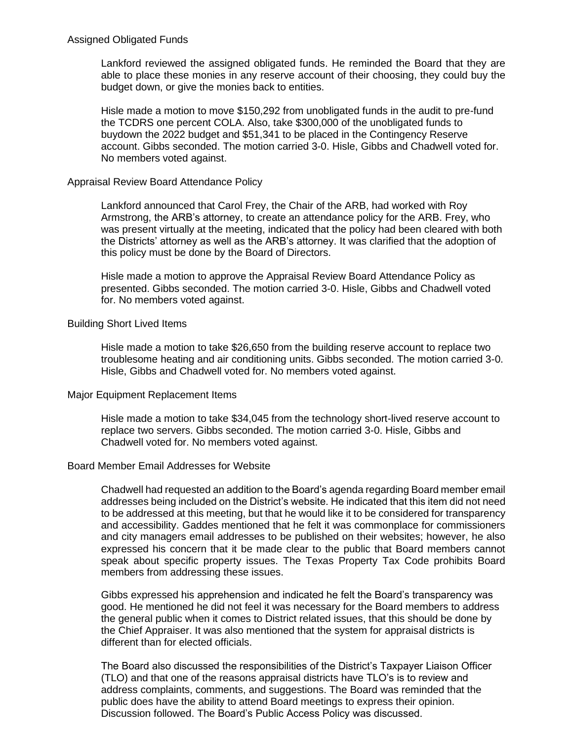Lankford reviewed the assigned obligated funds. He reminded the Board that they are able to place these monies in any reserve account of their choosing, they could buy the budget down, or give the monies back to entities.

Hisle made a motion to move \$150,292 from unobligated funds in the audit to pre-fund the TCDRS one percent COLA. Also, take \$300,000 of the unobligated funds to buydown the 2022 budget and \$51,341 to be placed in the Contingency Reserve account. Gibbs seconded. The motion carried 3-0. Hisle, Gibbs and Chadwell voted for. No members voted against.

#### Appraisal Review Board Attendance Policy

Lankford announced that Carol Frey, the Chair of the ARB, had worked with Roy Armstrong, the ARB's attorney, to create an attendance policy for the ARB. Frey, who was present virtually at the meeting, indicated that the policy had been cleared with both the Districts' attorney as well as the ARB's attorney. It was clarified that the adoption of this policy must be done by the Board of Directors.

Hisle made a motion to approve the Appraisal Review Board Attendance Policy as presented. Gibbs seconded. The motion carried 3-0. Hisle, Gibbs and Chadwell voted for. No members voted against.

#### Building Short Lived Items

Hisle made a motion to take \$26,650 from the building reserve account to replace two troublesome heating and air conditioning units. Gibbs seconded. The motion carried 3-0. Hisle, Gibbs and Chadwell voted for. No members voted against.

#### Major Equipment Replacement Items

Hisle made a motion to take \$34,045 from the technology short-lived reserve account to replace two servers. Gibbs seconded. The motion carried 3-0. Hisle, Gibbs and Chadwell voted for. No members voted against.

#### Board Member Email Addresses for Website

Chadwell had requested an addition to the Board's agenda regarding Board member email addresses being included on the District's website. He indicated that this item did not need to be addressed at this meeting, but that he would like it to be considered for transparency and accessibility. Gaddes mentioned that he felt it was commonplace for commissioners and city managers email addresses to be published on their websites; however, he also expressed his concern that it be made clear to the public that Board members cannot speak about specific property issues. The Texas Property Tax Code prohibits Board members from addressing these issues.

Gibbs expressed his apprehension and indicated he felt the Board's transparency was good. He mentioned he did not feel it was necessary for the Board members to address the general public when it comes to District related issues, that this should be done by the Chief Appraiser. It was also mentioned that the system for appraisal districts is different than for elected officials.

The Board also discussed the responsibilities of the District's Taxpayer Liaison Officer (TLO) and that one of the reasons appraisal districts have TLO's is to review and address complaints, comments, and suggestions. The Board was reminded that the public does have the ability to attend Board meetings to express their opinion. Discussion followed. The Board's Public Access Policy was discussed.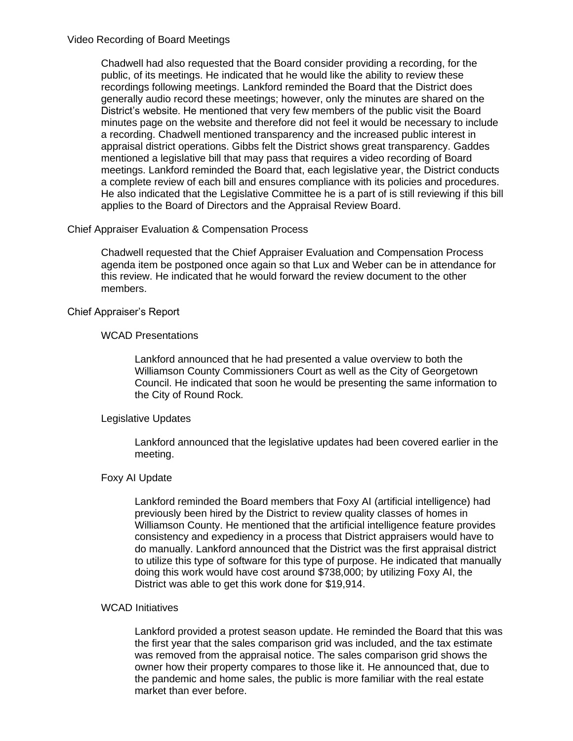#### Video Recording of Board Meetings

Chadwell had also requested that the Board consider providing a recording, for the public, of its meetings. He indicated that he would like the ability to review these recordings following meetings. Lankford reminded the Board that the District does generally audio record these meetings; however, only the minutes are shared on the District's website. He mentioned that very few members of the public visit the Board minutes page on the website and therefore did not feel it would be necessary to include a recording. Chadwell mentioned transparency and the increased public interest in appraisal district operations. Gibbs felt the District shows great transparency. Gaddes mentioned a legislative bill that may pass that requires a video recording of Board meetings. Lankford reminded the Board that, each legislative year, the District conducts a complete review of each bill and ensures compliance with its policies and procedures. He also indicated that the Legislative Committee he is a part of is still reviewing if this bill applies to the Board of Directors and the Appraisal Review Board.

## Chief Appraiser Evaluation & Compensation Process

Chadwell requested that the Chief Appraiser Evaluation and Compensation Process agenda item be postponed once again so that Lux and Weber can be in attendance for this review. He indicated that he would forward the review document to the other members.

## Chief Appraiser's Report

## WCAD Presentations

Lankford announced that he had presented a value overview to both the Williamson County Commissioners Court as well as the City of Georgetown Council. He indicated that soon he would be presenting the same information to the City of Round Rock.

#### Legislative Updates

Lankford announced that the legislative updates had been covered earlier in the meeting.

#### Foxy AI Update

Lankford reminded the Board members that Foxy AI (artificial intelligence) had previously been hired by the District to review quality classes of homes in Williamson County. He mentioned that the artificial intelligence feature provides consistency and expediency in a process that District appraisers would have to do manually. Lankford announced that the District was the first appraisal district to utilize this type of software for this type of purpose. He indicated that manually doing this work would have cost around \$738,000; by utilizing Foxy AI, the District was able to get this work done for \$19,914.

#### WCAD Initiatives

Lankford provided a protest season update. He reminded the Board that this was the first year that the sales comparison grid was included, and the tax estimate was removed from the appraisal notice. The sales comparison grid shows the owner how their property compares to those like it. He announced that, due to the pandemic and home sales, the public is more familiar with the real estate market than ever before.